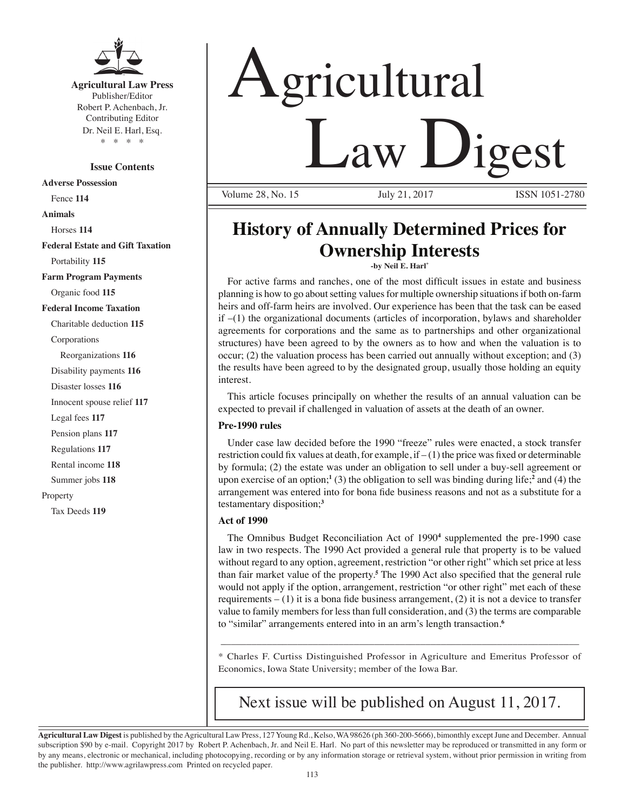

**Agricultural Law Press** Publisher/Editor Robert P. Achenbach, Jr. Contributing Editor Dr. Neil E. Harl, Esq. \* \* \* \*

**Issue Contents**

**Adverse Possession** Fence **114 Animals** Horses **114 Federal Estate and Gift Taxation** Portability **115 Farm Program Payments** Organic food **115 Federal Income Taxation** Charitable deduction **115** Corporations Reorganizations **116** Disability payments **116** Disaster losses **116** Innocent spouse relief **117** Legal fees **117** Pension plans **117** Regulations **117** Rental income **118** Summer jobs **118** Property Tax Deeds **119**

# Agricultural Law Digest

Volume 28, No. 15 July 21, 2017 **ISSN 1051-2780** 

# **History of Annually Determined Prices for Ownership Interests**

**-by Neil E. Harl\*** 

 For active farms and ranches, one of the most difficult issues in estate and business planning is how to go about setting values for multiple ownership situations if both on-farm heirs and off-farm heirs are involved. Our experience has been that the task can be eased  $if -1$ ) the organizational documents (articles of incorporation, bylaws and shareholder agreements for corporations and the same as to partnerships and other organizational structures) have been agreed to by the owners as to how and when the valuation is to occur; (2) the valuation process has been carried out annually without exception; and (3) the results have been agreed to by the designated group, usually those holding an equity interest.

This article focuses principally on whether the results of an annual valuation can be expected to prevail if challenged in valuation of assets at the death of an owner.

#### **Pre-1990 rules**

Under case law decided before the 1990 "freeze" rules were enacted, a stock transfer restriction could fix values at death, for example, if  $-(1)$  the price was fixed or determinable by formula; (2) the estate was under an obligation to sell under a buy-sell agreement or upon exercise of an option;**<sup>1</sup>** (3) the obligation to sell was binding during life;**<sup>2</sup>** and (4) the arrangement was entered into for bona fide business reasons and not as a substitute for a testamentary disposition;**<sup>3</sup>**

#### **Act of 1990**

The Omnibus Budget Reconciliation Act of 1990<sup>4</sup> supplemented the pre-1990 case law in two respects. The 1990 Act provided a general rule that property is to be valued without regard to any option, agreement, restriction "or other right" which set price at less than fair market value of the property.**<sup>5</sup>** The 1990 Act also specified that the general rule would not apply if the option, arrangement, restriction "or other right" met each of these requirements  $- (1)$  it is a bona fide business arrangement,  $(2)$  it is not a device to transfer value to family members for less than full consideration, and (3) the terms are comparable to "similar" arrangements entered into in an arm's length transaction.**<sup>6</sup>**

\* Charles F. Curtiss Distinguished Professor in Agriculture and Emeritus Professor of Economics, Iowa State University; member of the Iowa Bar.

\_\_\_\_\_\_\_\_\_\_\_\_\_\_\_\_\_\_\_\_\_\_\_\_\_\_\_\_\_\_\_\_\_\_\_\_\_\_\_\_\_\_\_\_\_\_\_\_\_\_\_\_\_\_\_\_\_\_\_\_\_\_\_\_\_\_\_\_\_\_

Next issue will be published on August 11, 2017.

**Agricultural Law Digest** is published by the Agricultural Law Press, 127 Young Rd., Kelso, WA 98626 (ph 360-200-5666), bimonthly except June and December. Annual subscription \$90 by e-mail. Copyright 2017 by Robert P. Achenbach, Jr. and Neil E. Harl. No part of this newsletter may be reproduced or transmitted in any form or by any means, electronic or mechanical, including photocopying, recording or by any information storage or retrieval system, without prior permission in writing from the publisher. http://www.agrilawpress.com Printed on recycled paper.